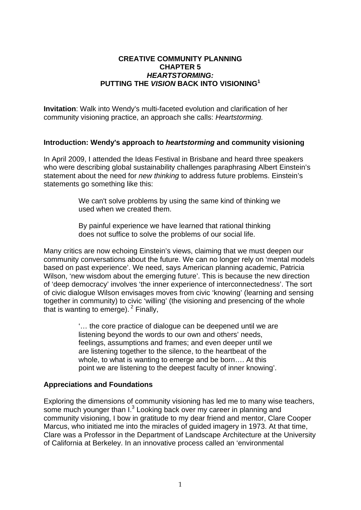### **CREATIVE COMMUNITY PLANNING CHAPTER 5**  *HEARTSTORMING:*  **PUTTING THE** *VISION* **BACK INTO VISIONING1**

**Invitation**: Walk into Wendy's multi-faceted evolution and clarification of her community visioning practice, an approach she calls: *Heartstorming.*

### **Introduction: Wendy's approach to** *heartstorming* **and community visioning**

In April 2009, I attended the Ideas Festival in Brisbane and heard three speakers who were describing global sustainability challenges paraphrasing Albert Einstein's statement about the need for *new thinking* to address future problems. Einstein's statements go something like this:

> We can't solve problems by using the same kind of thinking we used when we created them.

By painful experience we have learned that rational thinking does not suffice to solve the problems of our social life.

Many critics are now echoing Einstein's views, claiming that we must deepen our community conversations about the future. We can no longer rely on 'mental models based on past experience'. We need, says American planning academic, Patricia Wilson, 'new wisdom about the emerging future'. This is because the new direction of 'deep democracy' involves 'the inner experience of interconnectedness'. The sort of civic dialogue Wilson envisages moves from civic 'knowing' (learning and sensing together in community) to civic 'willing' (the visioning and presencing of the whole that is wanting to emerge).  $2$  Finally,

> '… the core practice of dialogue can be deepened until we are listening beyond the words to our own and others' needs, feelings, assumptions and frames; and even deeper until we are listening together to the silence, to the heartbeat of the whole, to what is wanting to emerge and be born…. At this point we are listening to the deepest faculty of inner knowing'.

### **Appreciations and Foundations**

Exploring the dimensions of community visioning has led me to many wise teachers, some much younger than I.<sup>3</sup> Looking back over my career in planning and community visioning, I bow in gratitude to my dear friend and mentor, Clare Cooper Marcus, who initiated me into the miracles of guided imagery in 1973. At that time, Clare was a Professor in the Department of Landscape Architecture at the University of California at Berkeley. In an innovative process called an 'environmental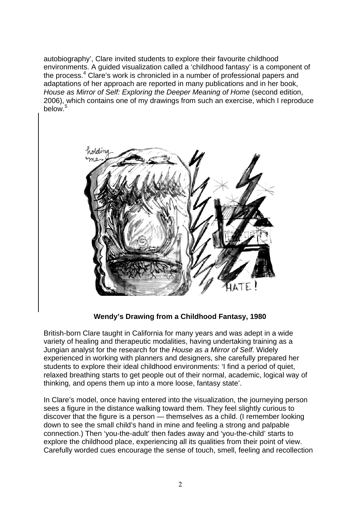autobiography', Clare invited students to explore their favourite childhood environments. A guided visualization called a 'childhood fantasy' is a component of the process.<sup>4</sup> Clare's work is chronicled in a number of professional papers and adaptations of her approach are reported in many publications and in her book, *House as Mirror of Self: Exploring the Deeper Meaning of Home* (second edition, 2006), which contains one of my drawings from such an exercise, which I reproduce below.<sup>5</sup>



**Wendy's Drawing from a Childhood Fantasy, 1980** 

British-born Clare taught in California for many years and was adept in a wide variety of healing and therapeutic modalities, having undertaking training as a Jungian analyst for the research for the *House as a Mirror of Self*. Widely experienced in working with planners and designers, she carefully prepared her students to explore their ideal childhood environments: 'I find a period of quiet, relaxed breathing starts to get people out of their normal, academic, logical way of thinking, and opens them up into a more loose, fantasy state'.

In Clare's model, once having entered into the visualization, the journeying person sees a figure in the distance walking toward them. They feel slightly curious to discover that the figure is a person — themselves as a child. (I remember looking down to see the small child's hand in mine and feeling a strong and palpable connection.) Then 'you-the-adult' then fades away and 'you-the-child' starts to explore the childhood place, experiencing all its qualities from their point of view. Carefully worded cues encourage the sense of touch, smell, feeling and recollection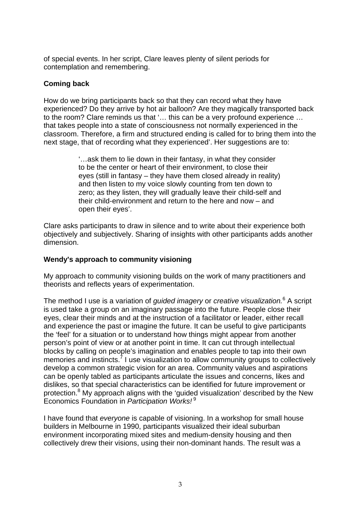of special events. In her script, Clare leaves plenty of silent periods for contemplation and remembering.

## **Coming back**

How do we bring participants back so that they can record what they have experienced? Do they arrive by hot air balloon? Are they magically transported back to the room? Clare reminds us that '… this can be a very profound experience … that takes people into a state of consciousness not normally experienced in the classroom. Therefore, a firm and structured ending is called for to bring them into the next stage, that of recording what they experienced'. Her suggestions are to:

> '…ask them to lie down in their fantasy, in what they consider to be the center or heart of their environment, to close their eyes (still in fantasy – they have them closed already in reality) and then listen to my voice slowly counting from ten down to zero; as they listen, they will gradually leave their child-self and their child-environment and return to the here and now – and open their eyes'.

Clare asks participants to draw in silence and to write about their experience both objectively and subjectively. Sharing of insights with other participants adds another dimension.

# **Wendy's approach to community visioning**

My approach to community visioning builds on the work of many practitioners and theorists and reflects years of experimentation.

The method I use is a variation of *guided imagery* or *creative visualization.*<sup>6</sup> A script is used take a group on an imaginary passage into the future. People close their eyes, clear their minds and at the instruction of a facilitator or leader, either recall and experience the past or imagine the future. It can be useful to give participants the 'feel' for a situation or to understand how things might appear from another person's point of view or at another point in time. It can cut through intellectual blocks by calling on people's imagination and enables people to tap into their own memories and instincts.<sup> $7$ </sup> I use visualization to allow community groups to collectively develop a common strategic vision for an area. Community values and aspirations can be openly tabled as participants articulate the issues and concerns, likes and dislikes, so that special characteristics can be identified for future improvement or protection.<sup>8</sup> My approach aligns with the 'guided visualization' described by the New Economics Foundation in *Participation Works!* 9

I have found that *everyone* is capable of visioning. In a workshop for small house builders in Melbourne in 1990, participants visualized their ideal suburban environment incorporating mixed sites and medium-density housing and then collectively drew their visions, using their non-dominant hands. The result was a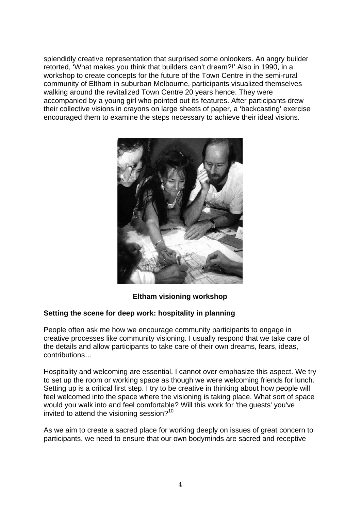splendidly creative representation that surprised some onlookers. An angry builder retorted, 'What makes you think that builders can't dream?!' Also in 1990, in a workshop to create concepts for the future of the Town Centre in the semi-rural community of Eltham in suburban Melbourne, participants visualized themselves walking around the revitalized Town Centre 20 years hence. They were accompanied by a young girl who pointed out its features. After participants drew their collective visions in crayons on large sheets of paper, a 'backcasting' exercise encouraged them to examine the steps necessary to achieve their ideal visions.



**Eltham visioning workshop** 

# **Setting the scene for deep work: hospitality in planning**

People often ask me how we encourage community participants to engage in creative processes like community visioning. I usually respond that we take care of the details and allow participants to take care of their own dreams, fears, ideas, contributions…

Hospitality and welcoming are essential. I cannot over emphasize this aspect. We try to set up the room or working space as though we were welcoming friends for lunch. Setting up is a critical first step. I try to be creative in thinking about how people will feel welcomed into the space where the visioning is taking place. What sort of space would you walk into and feel comfortable? Will this work for 'the guests' you've invited to attend the visioning session? $10<sup>10</sup>$ 

As we aim to create a sacred place for working deeply on issues of great concern to participants, we need to ensure that our own bodyminds are sacred and receptive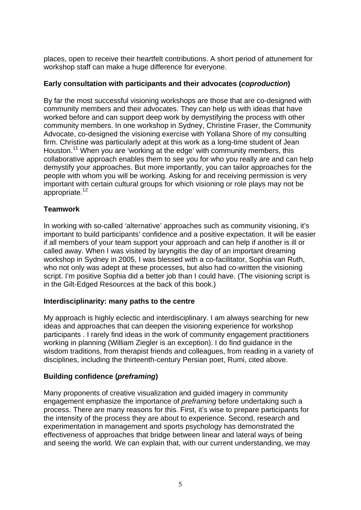places, open to receive their heartfelt contributions. A short period of attunement for workshop staff can make a huge difference for everyone.

## **Early consultation with participants and their advocates (***coproduction***)**

By far the most successful visioning workshops are those that are co-designed with community members and their advocates. They can help us with ideas that have worked before and can support deep work by demystifying the process with other community members. In one workshop in Sydney, Christine Fraser, the Community Advocate, co-designed the visioning exercise with Yollana Shore of my consulting firm. Christine was particularly adept at this work as a long-time student of Jean Houston.<sup>11</sup> When you are 'working at the edge' with community members, this collaborative approach enables them to see you for who you really are and can help demystify your approaches. But more importantly, you can tailor approaches for the people with whom you will be working. Asking for and receiving permission is very important with certain cultural groups for which visioning or role plays may not be appropriate.<sup>12</sup>

# **Teamwork**

In working with so-called 'alternative' approaches such as community visioning, it's important to build participants' confidence and a positive expectation. It will be easier if all members of your team support your approach and can help if another is ill or called away. When I was visited by laryngitis the day of an important dreaming workshop in Sydney in 2005, I was blessed with a co-facilitator, Sophia van Ruth, who not only was adept at these processes, but also had co-written the visioning script. I'm positive Sophia did a better job than I could have. (The visioning script is in the Gilt-Edged Resources at the back of this book.)

# **Interdisciplinarity: many paths to the centre**

My approach is highly eclectic and interdisciplinary. I am always searching for new ideas and approaches that can deepen the visioning experience for workshop participants . I rarely find ideas in the work of community engagement practitioners working in planning (William Ziegler is an exception). I do find guidance in the wisdom traditions, from therapist friends and colleagues, from reading in a variety of disciplines, including the thirteenth-century Persian poet, Rumi, cited above.

# **Building confidence (***preframing***)**

Many proponents of creative visualization and guided imagery in community engagement emphasize the importance of *preframing* before undertaking such a process. There are many reasons for this. First, it's wise to prepare participants for the intensity of the process they are about to experience. Second, research and experimentation in management and sports psychology has demonstrated the effectiveness of approaches that bridge between linear and lateral ways of being and seeing the world. We can explain that, with our current understanding, we may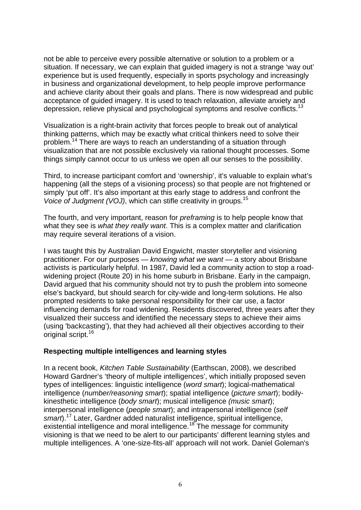not be able to perceive every possible alternative or solution to a problem or a situation. If necessary, we can explain that guided imagery is not a strange 'way out' experience but is used frequently, especially in sports psychology and increasingly in business and organizational development, to help people improve performance and achieve clarity about their goals and plans. There is now widespread and public acceptance of guided imagery. It is used to teach relaxation, alleviate anxiety and depression, relieve physical and psychological symptoms and resolve conflicts.<sup>13</sup>

Visualization is a right-brain activity that forces people to break out of analytical thinking patterns, which may be exactly what critical thinkers need to solve their problem.14 There are ways to reach an understanding of a situation through visualization that are not possible exclusively via rational thought processes. Some things simply cannot occur to us unless we open all our senses to the possibility.

Third, to increase participant comfort and 'ownership', it's valuable to explain what's happening (all the steps of a visioning process) so that people are not frightened or simply 'put off'. It's also important at this early stage to address and confront the *Voice of Judgment (VOJ)*, which can stifle creativity in groups.<sup>15</sup>

The fourth, and very important, reason for *preframing* is to help people know that what they see is *what they really want*. This is a complex matter and clarification may require several iterations of a vision.

I was taught this by Australian David Engwicht, master storyteller and visioning practitioner. For our purposes — *knowing what we want* — a story about Brisbane activists is particularly helpful. In 1987, David led a community action to stop a roadwidening project (Route 20) in his home suburb in Brisbane. Early in the campaign, David argued that his community should not try to push the problem into someone else's backyard, but should search for city-wide and long-term solutions. He also prompted residents to take personal responsibility for their car use, a factor influencing demands for road widening. Residents discovered, three years after they visualized their success and identified the necessary steps to achieve their aims (using 'backcasting'), that they had achieved all their objectives according to their original script.16

### **Respecting multiple intelligences and learning styles**

In a recent book, *Kitchen Table Sustainability* (Earthscan, 2008), we described Howard Gardner's 'theory of multiple intelligences', which initially proposed seven types of intelligences: linguistic intelligence (*word smart*); logical-mathematical intelligence (*number/reasoning smart*); spatial intelligence (*picture smart*); bodilykinesthetic intelligence (*body smart*); musical intelligence *(music smart*); interpersonal intelligence (*people smart*); and intrapersonal intelligence (*self smart*).17 Later, Gardner added naturalist intelligence, spiritual intelligence, existential intelligence and moral intelligence.<sup>18</sup> The message for community visioning is that we need to be alert to our participants' different learning styles and multiple intelligences. A 'one-size-fits-all' approach will not work. Daniel Goleman's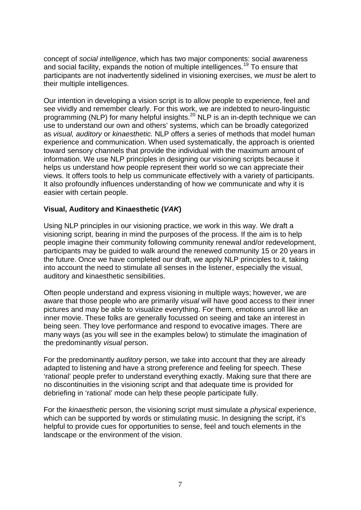concept of *social intelligence*, which has two major components: social awareness and social facility, expands the notion of multiple intelligences.19 To ensure that participants are not inadvertently sidelined in visioning exercises, we *must* be alert to their multiple intelligences.

Our intention in developing a vision script is to allow people to experience, feel and see vividly and remember clearly. For this work, we are indebted to neuro-linguistic programming (NLP) for many helpful insights.<sup>20</sup> NLP is an in-depth technique we can use to understand our own and others' systems, which can be broadly categorized as *visual, auditory* or *kinaesthetic.* NLP offers a series of methods that model human experience and communication. When used systematically, the approach is oriented toward sensory channels that provide the individual with the maximum amount of information. We use NLP principles in designing our visioning scripts because it helps us understand how people represent their world so we can appreciate their views. It offers tools to help us communicate effectively with a variety of participants. It also profoundly influences understanding of how we communicate and why it is easier with certain people.

## **Visual, Auditory and Kinaesthetic (***VAK***)**

Using NLP principles in our visioning practice, we work in this way. We draft a visioning script, bearing in mind the purposes of the process. If the aim is to help people imagine their community following community renewal and/or redevelopment, participants may be guided to walk around the renewed community 15 or 20 years in the future. Once we have completed our draft, we apply NLP principles to it, taking into account the need to stimulate all senses in the listener, especially the visual, auditory and kinaesthetic sensibilities.

Often people understand and express visioning in multiple ways; however, we are aware that those people who are primarily *visual* will have good access to their inner pictures and may be able to visualize everything. For them, emotions unroll like an inner movie. These folks are generally focussed on seeing and take an interest in being seen. They love performance and respond to evocative images. There are many ways (as you will see in the examples below) to stimulate the imagination of the predominantly *visual* person.

For the predominantly *auditory* person, we take into account that they are already adapted to listening and have a strong preference and feeling for speech. These 'rational' people prefer to understand everything exactly. Making sure that there are no discontinuities in the visioning script and that adequate time is provided for debriefing in 'rational' mode can help these people participate fully.

For the *kinaesthetic* person, the visioning script must simulate a *physical* experience, which can be supported by words or stimulating music. In designing the script, it's helpful to provide cues for opportunities to sense, feel and touch elements in the landscape or the environment of the vision.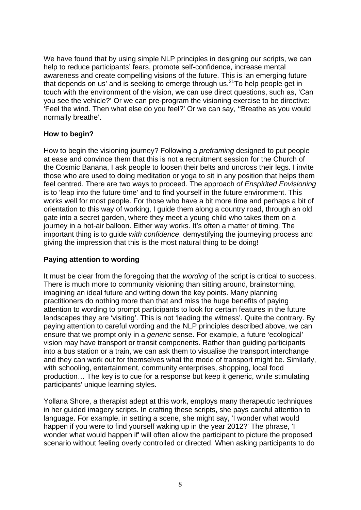We have found that by using simple NLP principles in designing our scripts, we can help to reduce participants' fears, promote self-confidence, increase mental awareness and create compelling visions of the future. This is 'an emerging future that depends on us' and is seeking to emerge through us.<sup>21</sup>To help people get in touch with the environment of the vision, we can use direct questions, such as, 'Can you see the vehicle?' Or we can pre-program the visioning exercise to be directive: 'Feel the wind. Then what else do you feel?' Or we can say, ''Breathe as you would normally breathe'.

# **How to begin?**

How to begin the visioning journey? Following a *preframing* designed to put people at ease and convince them that this is not a recruitment session for the Church of the Cosmic Banana, I ask people to loosen their belts and uncross their legs. I invite those who are used to doing meditation or yoga to sit in any position that helps them feel centred. There are two ways to proceed. The approach *of Enspirited Envisioning* is to 'leap into the future time' and to find yourself in the future environment. This works well for most people. For those who have a bit more time and perhaps a bit of orientation to this way of working, I guide them along a country road, through an old gate into a secret garden, where they meet a young child who takes them on a journey in a hot-air balloon. Either way works. It's often a matter of timing. The important thing is to guide *with confidence*, demystifying the journeying process and giving the impression that this is the most natural thing to be doing!

# **Paying attention to wording**

It must be clear from the foregoing that the *wording* of the script is critical to success. There is much more to community visioning than sitting around, brainstorming, imagining an ideal future and writing down the key points. Many planning practitioners do nothing more than that and miss the huge benefits of paying attention to wording to prompt participants to look for certain features in the future landscapes they are 'visiting'. This is not 'leading the witness'. Quite the contrary. By paying attention to careful wording and the NLP principles described above, we can ensure that we prompt only in a *generic* sense. For example, a future 'ecological' vision may have transport or transit components. Rather than guiding participants into a bus station or a train, we can ask them to visualise the transport interchange and they can work out for themselves what the mode of transport might be. Similarly, with schooling, entertainment, community enterprises, shopping, local food production… The key is to cue for a response but keep it generic, while stimulating participants' unique learning styles.

Yollana Shore, a therapist adept at this work, employs many therapeutic techniques in her guided imagery scripts. In crafting these scripts, she pays careful attention to language. For example, in setting a scene, she might say, 'I wonder what would happen if you were to find yourself waking up in the year 2012?' The phrase, 'I wonder what would happen if' will often allow the participant to picture the proposed scenario without feeling overly controlled or directed. When asking participants to do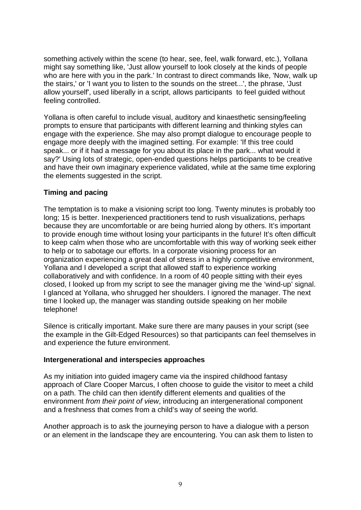something actively within the scene (to hear, see, feel, walk forward, etc.), Yollana might say something like, 'Just allow yourself to look closely at the kinds of people who are here with you in the park.' In contrast to direct commands like, 'Now, walk up the stairs,' or 'I want you to listen to the sounds on the street...', the phrase, 'Just allow yourself', used liberally in a script, allows participants to feel guided without feeling controlled.

Yollana is often careful to include visual, auditory and kinaesthetic sensing/feeling prompts to ensure that participants with different learning and thinking styles can engage with the experience. She may also prompt dialogue to encourage people to engage more deeply with the imagined setting. For example: 'If this tree could speak... or if it had a message for you about its place in the park... what would it say?' Using lots of strategic, open-ended questions helps participants to be creative and have their own imaginary experience validated, while at the same time exploring the elements suggested in the script.

## **Timing and pacing**

The temptation is to make a visioning script too long. Twenty minutes is probably too long; 15 is better. Inexperienced practitioners tend to rush visualizations, perhaps because they are uncomfortable or are being hurried along by others. It's important to provide enough time without losing your participants in the future! It's often difficult to keep calm when those who are uncomfortable with this way of working seek either to help or to sabotage our efforts. In a corporate visioning process for an organization experiencing a great deal of stress in a highly competitive environment, Yollana and I developed a script that allowed staff to experience working collaboratively and with confidence. In a room of 40 people sitting with their eyes closed, I looked up from my script to see the manager giving me the 'wind-up' signal. I glanced at Yollana, who shrugged her shoulders. I ignored the manager. The next time I looked up, the manager was standing outside speaking on her mobile telephone!

Silence is critically important. Make sure there are many pauses in your script (see the example in the Gilt-Edged Resources) so that participants can feel themselves in and experience the future environment.

### **Intergenerational and interspecies approaches**

As my initiation into guided imagery came via the inspired childhood fantasy approach of Clare Cooper Marcus, I often choose to guide the visitor to meet a child on a path. The child can then identify different elements and qualities of the environment *from their point of view*, introducing an intergenerational component and a freshness that comes from a child's way of seeing the world.

Another approach is to ask the journeying person to have a dialogue with a person or an element in the landscape they are encountering. You can ask them to listen to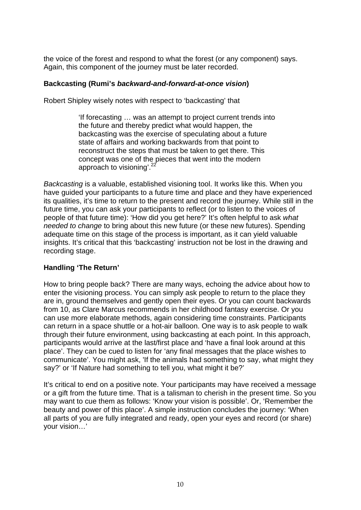the voice of the forest and respond to what the forest (or any component) says. Again, this component of the journey must be later recorded.

### **Backcasting (Rumi's** *backward-and-forward-at-once vision***)**

Robert Shipley wisely notes with respect to 'backcasting' that

'If forecasting … was an attempt to project current trends into the future and thereby predict what would happen, the backcasting was the exercise of speculating about a future state of affairs and working backwards from that point to reconstruct the steps that must be taken to get there. This concept was one of the pieces that went into the modern approach to visioning'.<sup>22</sup>

*Backcasting* is a valuable, established visioning tool. It works like this. When you have guided your participants to a future time and place and they have experienced its qualities, it's time to return to the present and record the journey. While still in the future time, you can ask your participants to reflect (or to listen to the voices of people of that future time): 'How did you get here?' It's often helpful to ask *what needed to change* to bring about this new future (or these new futures). Spending adequate time on this stage of the process is important, as it can yield valuable insights. It's critical that this 'backcasting' instruction not be lost in the drawing and recording stage.

# **Handling 'The Return'**

How to bring people back? There are many ways, echoing the advice about how to enter the visioning process. You can simply ask people to return to the place they are in, ground themselves and gently open their eyes. Or you can count backwards from 10, as Clare Marcus recommends in her childhood fantasy exercise. Or you can use more elaborate methods, again considering time constraints. Participants can return in a space shuttle or a hot-air balloon. One way is to ask people to walk through their future environment, using backcasting at each point. In this approach, participants would arrive at the last/first place and 'have a final look around at this place'. They can be cued to listen for 'any final messages that the place wishes to communicate'. You might ask, 'If the animals had something to say, what might they say?' or 'If Nature had something to tell you, what might it be?'

It's critical to end on a positive note. Your participants may have received a message or a gift from the future time. That is a talisman to cherish in the present time. So you may want to cue them as follows: 'Know your vision is possible'. Or, 'Remember the beauty and power of this place'. A simple instruction concludes the journey: 'When all parts of you are fully integrated and ready, open your eyes and record (or share) your vision…'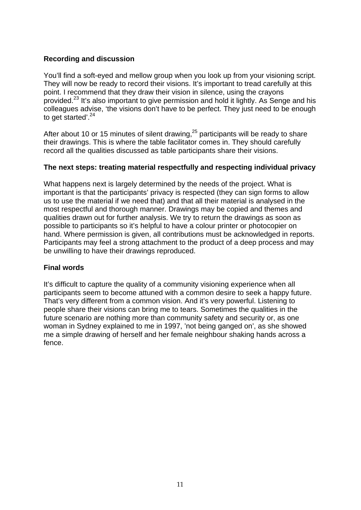# **Recording and discussion**

You'll find a soft-eyed and mellow group when you look up from your visioning script. They will now be ready to record their visions. It's important to tread carefully at this point. I recommend that they draw their vision in silence, using the crayons provided.<sup>23</sup> It's also important to give permission and hold it lightly. As Senge and his colleagues advise, 'the visions don't have to be perfect. They just need to be enough to get started'.<sup>24</sup>

After about 10 or 15 minutes of silent drawing,  $25$  participants will be ready to share their drawings. This is where the table facilitator comes in. They should carefully record all the qualities discussed as table participants share their visions.

## **The next steps: treating material respectfully and respecting individual privacy**

What happens next is largely determined by the needs of the project. What is important is that the participants' privacy is respected (they can sign forms to allow us to use the material if we need that) and that all their material is analysed in the most respectful and thorough manner. Drawings may be copied and themes and qualities drawn out for further analysis. We try to return the drawings as soon as possible to participants so it's helpful to have a colour printer or photocopier on hand. Where permission is given, all contributions must be acknowledged in reports. Participants may feel a strong attachment to the product of a deep process and may be unwilling to have their drawings reproduced.

### **Final words**

It's difficult to capture the quality of a community visioning experience when all participants seem to become attuned with a common desire to seek a happy future. That's very different from a common vision. And it's very powerful. Listening to people share their visions can bring me to tears. Sometimes the qualities in the future scenario are nothing more than community safety and security or, as one woman in Sydney explained to me in 1997, 'not being ganged on', as she showed me a simple drawing of herself and her female neighbour shaking hands across a fence.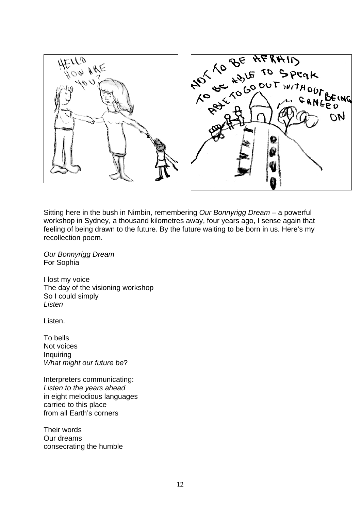

Sitting here in the bush in Nimbin, remembering *Our Bonnyrigg Dream* – a powerful workshop in Sydney, a thousand kilometres away, four years ago, I sense again that feeling of being drawn to the future. By the future waiting to be born in us. Here's my recollection poem.

*Our Bonnyrigg Dream*  For Sophia

I lost my voice The day of the visioning workshop So I could simply *Listen*

Listen.

To bells Not voices Inquiring *What might our future be*?

Interpreters communicating: *Listen to the years ahead*  in eight melodious languages carried to this place from all Earth's corners

Their words Our dreams consecrating the humble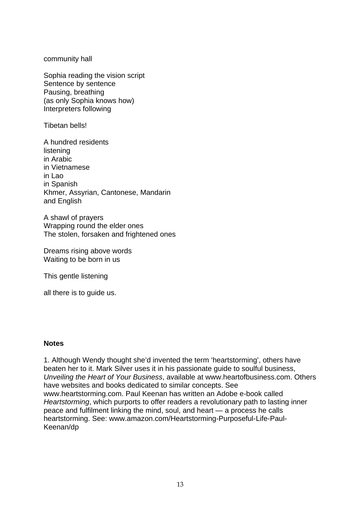#### community hall

Sophia reading the vision script Sentence by sentence Pausing, breathing (as only Sophia knows how) Interpreters following

Tibetan bells!

A hundred residents listening in Arabic in Vietnamese in Lao in Spanish Khmer, Assyrian, Cantonese, Mandarin and English

A shawl of prayers Wrapping round the elder ones The stolen, forsaken and frightened ones

Dreams rising above words Waiting to be born in us

This gentle listening

all there is to guide us.

### **Notes**

1. Although Wendy thought she'd invented the term 'heartstorming', others have beaten her to it. Mark Silver uses it in his passionate guide to soulful business, *Unveiling the Heart of Your Business*, available at www.heartofbusiness.com. Others have websites and books dedicated to similar concepts. See www.heartstorming.com. Paul Keenan has written an Adobe e-book called *Heartstorming*, which purports to offer readers a revolutionary path to lasting inner peace and fulfilment linking the mind, soul, and heart — a process he calls heartstorming. See: www.amazon.com/Heartstorming-Purposeful-Life-Paul-Keenan/dp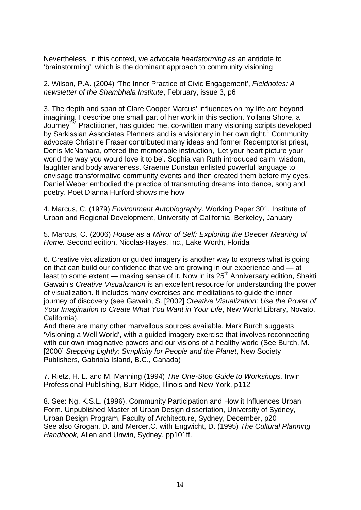Nevertheless, in this context, we advocate *heartstorming* as an antidote to 'brainstorming', which is the dominant approach to community visioning

2. Wilson, P.A. (2004) 'The Inner Practice of Civic Engagement', *Fieldnotes: A newsletter of the Shambhala Institute*, February, issue 3, p6

3. The depth and span of Clare Cooper Marcus' influences on my life are beyond imagining. I describe one small part of her work in this section. Yollana Shore, a Journey<sup>TM</sup> Practitioner, has quided me, co-written many visioning scripts developed by Sarkissian Associates Planners and is a visionary in her own right.<sup>1</sup> Community advocate Christine Fraser contributed many ideas and former Redemptorist priest, Denis McNamara, offered the memorable instruction, 'Let your heart picture your world the way you would love it to be'. Sophia van Ruth introduced calm, wisdom, laughter and body awareness. Graeme Dunstan enlisted powerful language to envisage transformative community events and then created them before my eyes. Daniel Weber embodied the practice of transmuting dreams into dance, song and poetry. Poet Dianna Hurford shows me how

4. Marcus, C. (1979) *Environment Autobiography*. Working Paper 301. Institute of Urban and Regional Development, University of California, Berkeley, January

5. Marcus, C. (2006) *House as a Mirror of Self: Exploring the Deeper Meaning of Home.* Second edition, Nicolas-Hayes, Inc., Lake Worth, Florida

6. Creative visualization or guided imagery is another way to express what is going on that can build our confidence that we are growing in our experience and — at least to some extent — making sense of it. Now in its  $25<sup>th</sup>$  Anniversary edition. Shakti Gawain's *Creative Visualization* is an excellent resource for understanding the power of visualization. It includes many exercises and meditations to guide the inner journey of discovery (see Gawain, S. [2002] *Creative Visualization: Use the Power of Your Imagination to Create What You Want in Your Life*, New World Library, Novato, California).

And there are many other marvellous sources available. Mark Burch suggests 'Visioning a Well World', with a guided imagery exercise that involves reconnecting with our own imaginative powers and our visions of a healthy world (See Burch, M. [2000] *Stepping Lightly: Simplicity for People and the Planet*, New Society Publishers, Gabriola Island, B.C., Canada)

7. Rietz, H. L. and M. Manning (1994) *The One-Stop Guide to Workshops,* Irwin Professional Publishing, Burr Ridge, Illinois and New York, p112

8. See: Ng, K.S.L. (1996). Community Participation and How it Influences Urban Form. Unpublished Master of Urban Design dissertation, University of Sydney, Urban Design Program, Faculty of Architecture, Sydney, December, p20 See also Grogan, D. and Mercer,C. with Engwicht, D. (1995) *The Cultural Planning Handbook,* Allen and Unwin, Sydney, pp101ff.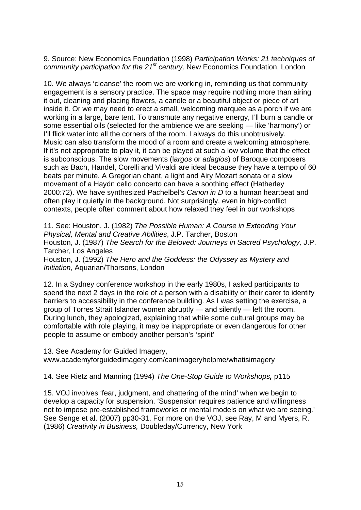9. Source: New Economics Foundation (1998) *Participation Works: 21 techniques of community participation for the 21st century,* New Economics Foundation, London

10. We always 'cleanse' the room we are working in, reminding us that community engagement is a sensory practice. The space may require nothing more than airing it out, cleaning and placing flowers, a candle or a beautiful object or piece of art inside it. Or we may need to erect a small, welcoming marquee as a porch if we are working in a large, bare tent. To transmute any negative energy, I'll burn a candle or some essential oils (selected for the ambience we are seeking — like 'harmony') or I'll flick water into all the corners of the room. I always do this unobtrusively. Music can also transform the mood of a room and create a welcoming atmosphere. If it's not appropriate to play it, it can be played at such a low volume that the effect is subconscious. The slow movements (l*argos* or *adagios*) of Baroque composers such as Bach, Handel, Corelli and Vivaldi are ideal because they have a tempo of 60 beats per minute. A Gregorian chant, a light and Airy Mozart sonata or a slow movement of a Haydn cello concerto can have a soothing effect (Hatherley 2000:72). We have synthesized Pachelbel's *Canon in D* to a human heartbeat and often play it quietly in the background. Not surprisingly, even in high-conflict contexts, people often comment about how relaxed they feel in our workshops

11. See: Houston, J. (1982) *The Possible Human: A Course in Extending Your Physical, Mental and Creative Abilities*, J.P. Tarcher, Boston Houston, J. (1987) *The Search for the Beloved: Journeys in Sacred Psychology,* J.P. Tarcher, Los Angeles Houston, J. (1992) *The Hero and the Goddess: the Odyssey as Mystery and* 

*Initiation*, Aquarian/Thorsons, London

12. In a Sydney conference workshop in the early 1980s, I asked participants to spend the next 2 days in the role of a person with a disability or their carer to identify barriers to accessibility in the conference building. As I was setting the exercise, a group of Torres Strait Islander women abruptly — and silently — left the room. During lunch, they apologized, explaining that while some cultural groups may be comfortable with role playing, it may be inappropriate or even dangerous for other people to assume or embody another person's 'spirit'

13. See Academy for Guided Imagery, www.academyforguidedimagery.com/canimageryhelpme/whatisimagery

14. See Rietz and Manning (1994) *The One-Stop Guide to Workshops,* p115

15. VOJ involves 'fear, judgment, and chattering of the mind' when we begin to develop a capacity for suspension. 'Suspension requires patience and willingness not to impose pre-established frameworks or mental models on what we are seeing.' See Senge et al. (2007) pp30-31. For more on the VOJ, see Ray, M and Myers, R. (1986) *Creativity in Business,* Doubleday/Currency, New York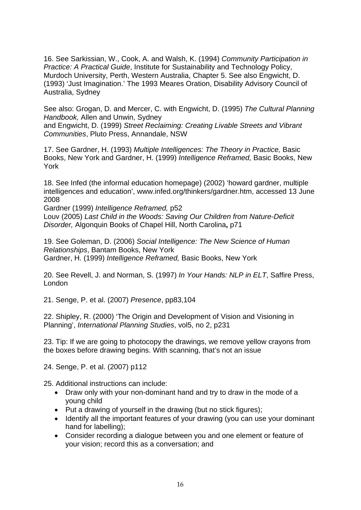16. See Sarkissian, W., Cook, A. and Walsh, K. (1994) *Community Participation in Practice: A Practical Guide*, Institute for Sustainability and Technology Policy, Murdoch University, Perth, Western Australia, Chapter 5. See also Engwicht, D. (1993) 'Just Imagination.' The 1993 Meares Oration, Disability Advisory Council of Australia, Sydney

See also: Grogan, D. and Mercer, C. with Engwicht, D. (1995) *The Cultural Planning Handbook,* Allen and Unwin, Sydney and Engwicht, D. (1999) *Street Reclaiming: Creating Livable Streets and Vibrant Communities*, Pluto Press, Annandale, NSW

17. See Gardner, H. (1993) *Multiple Intelligences: The Theory in Practice,* Basic Books, New York and Gardner, H. (1999) *Intelligence Reframed,* Basic Books, New York

18. See Infed (the informal education homepage) (2002) 'howard gardner, multiple intelligences and education', www.infed.org/thinkers/gardner.htm, accessed 13 June 2008

Gardner (1999) *Intelligence Reframed,* p52 Louv (2005) *Last Child in the Woods: Saving Our Children from Nature-Deficit Disorder,* Algonquin Books of Chapel Hill, North Carolina**,** p71

19. See Goleman, D. (2006) *Social Intelligence: The New Science of Human Relationships*, Bantam Books, New York Gardner, H. (1999) *Intelligence Reframed,* Basic Books, New York

20. See Revell, J. and Norman, S. (1997) *In Your Hands: NLP in ELT*, Saffire Press, London

21. Senge, P. et al. (2007) *Presence*, pp83,104

22. Shipley, R. (2000) 'The Origin and Development of Vision and Visioning in Planning', *International Planning Studies*, vol5, no 2, p231

23. Tip: If we are going to photocopy the drawings, we remove yellow crayons from the boxes before drawing begins. With scanning, that's not an issue

24. Senge, P. et al. (2007) p112

25. Additional instructions can include:

- Draw only with your non-dominant hand and try to draw in the mode of a young child
- Put a drawing of yourself in the drawing (but no stick figures);
- Identify all the important features of your drawing (you can use your dominant hand for labelling);
- Consider recording a dialogue between you and one element or feature of your vision; record this as a conversation; and